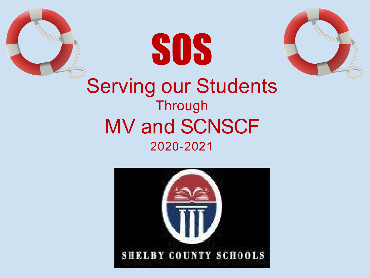



SOS

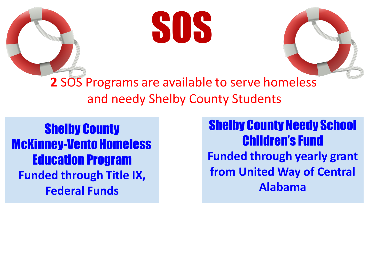



**2** SOS Programs are available to serve homeless and needy Shelby County Students

Shelby County **McKinney-Vento Homeless** Education Program **Funded through Title IX, Federal Funds**

Shelby County Needy School Children's Fund **Funded through yearly grant from United Way of Central Alabama**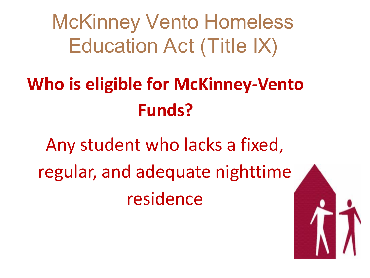McKinney Vento Homeless Education Act (Title IX)

### **Who is eligible for McKinney-Vento Funds?**

Any student who lacks a fixed, regular, and adequate nighttime residence

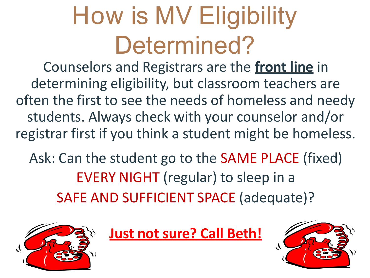# How is MV Eligibility Determined?

Counselors and Registrars are the **front line** in determining eligibility, but classroom teachers are often the first to see the needs of homeless and needy students. Always check with your counselor and/or registrar first if you think a student might be homeless.

Ask: Can the student go to the SAME PLACE (fixed) EVERY NIGHT (regular) to sleep in a SAFE AND SUFFICIENT SPACE (adequate)?



**Just not sure? Call Beth!**

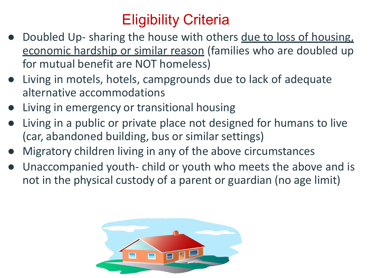### Eligibility Criteria

- Doubled Up- sharing the house with others due to loss of housing, economic hardship or similar reason (families who are doubled up for mutual benefit are NOT homeless)
- Living in motels, hotels, campgrounds due to lack of adequate alternative accommodations
- Living in emergency or transitional housing
- Living in a public or private place not designed for humans to live (car, abandoned building, bus or similar settings)
- Migratory children living in any of the above circumstances
- Unaccompanied youth- child or youth who meets the above and is not in the physical custody of a parent or guardian (no age limit)

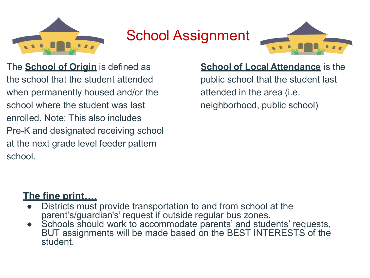

#### School Assignment



The **School of Origin** is defined as the school that the student attended when permanently housed and/or the school where the student was last enrolled. Note: This also includes Pre-K and designated receiving school at the next grade level feeder pattern school.

#### **School of Local Attendance** is the

public school that the student last attended in the area (i.e. neighborhood, public school)

#### **The fine print….**

- Districts must provide transportation to and from school at the parent's/guardian's' request if outside regular bus zones.
- Schools should work to accommodate parents' and students' requests, BUT assignments will be made based on the BEST INTERESTS of the student.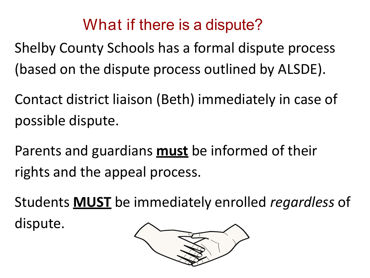### What if there is a dispute?

Shelby County Schools has a formal dispute process (based on the dispute process outlined by ALSDE).

Contact district liaison (Beth) immediately in case of possible dispute.

Parents and guardians **must** be informed of their rights and the appeal process.

Students **MUST** be immediately enrolled *regardless* of

dispute.

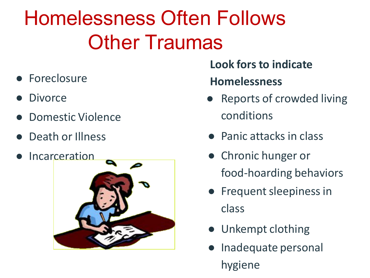Homelessness Often Follows **Other Traumas** 

- Foreclosure
- **Divorce**
- Domestic Violence
- Death or Illness
- Incarceration



**Look fors to indicate Homelessness**

- **Reports of crowded living** conditions
- Panic attacks in class
- Chronic hunger or food-hoarding behaviors
- **•** Frequent sleepiness in class
- Unkempt clothing
- Inadequate personal hygiene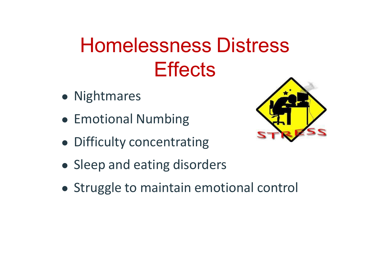## Homelessness Distress **Effects**

- Nightmares
- Emotional Numbing
- Difficulty concentrating
- Sleep and eating disorders
- Struggle to maintain emotional control

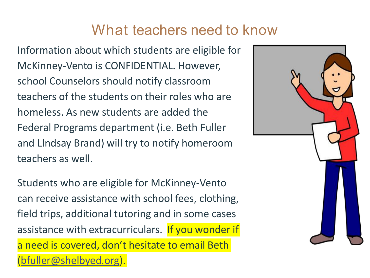#### What teachers need to know

Information about which students are eligible for McKinney-Vento is CONFIDENTIAL. However, school Counselors should notify classroom teachers of the students on their roles who are homeless. As new students are added the Federal Programs department (i.e. Beth Fuller and LIndsay Brand) will try to notify homeroom teachers as well.

Students who are eligible for McKinney-Vento can receive assistance with school fees, clothing, field trips, additional tutoring and in some cases assistance with extracurriculars. If you wonder if a need is covered, don't hesitate to email Beth ([bfuller@shelbyed.org\)](mailto:bfuller@shelbyed.org).

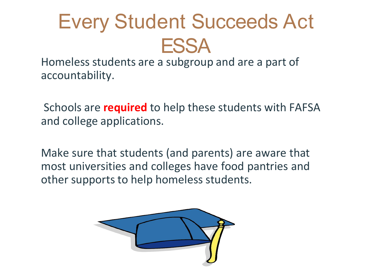## Every Student Succeeds Act **ESSA**

Homeless students are a subgroup and are a part of accountability.

Schools are **required** to help these students with FAFSA and college applications.

Make sure that students (and parents) are aware that most universities and colleges have food pantries and other supports to help homeless students.

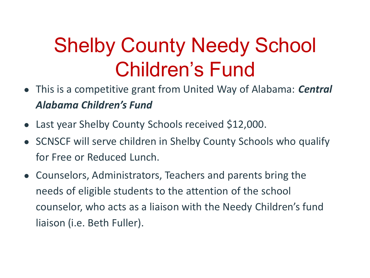## Shelby County Needy School Children's Fund

- This is a competitive grant from United Way of Alabama: *Central Alabama Children's Fund*
- Last year Shelby County Schools received \$12,000.
- SCNSCF will serve children in Shelby County Schools who qualify for Free or Reduced Lunch.
- Counselors, Administrators, Teachers and parents bring the needs of eligible students to the attention of the school counselor, who acts as a liaison with the Needy Children's fund liaison (i.e. Beth Fuller).